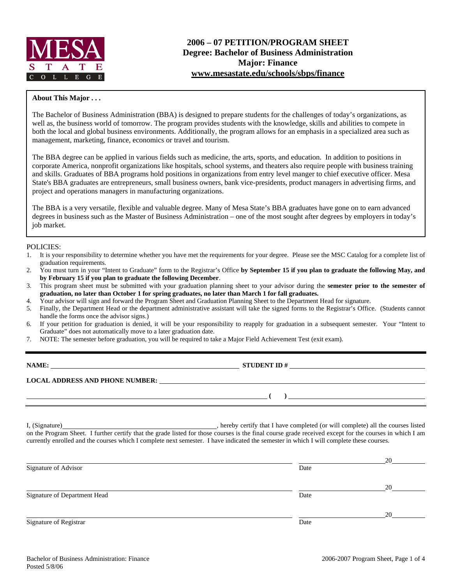

# **2006 – 07 PETITION/PROGRAM SHEET Degree: Bachelor of Business Administration Major: Finance www.mesastate.edu/schools/sbps/finance**

## **About This Major . . .**

The Bachelor of Business Administration (BBA) is designed to prepare students for the challenges of today's organizations, as well as, the business world of tomorrow. The program provides students with the knowledge, skills and abilities to compete in both the local and global business environments. Additionally, the program allows for an emphasis in a specialized area such as management, marketing, finance, economics or travel and tourism.

The BBA degree can be applied in various fields such as medicine, the arts, sports, and education. In addition to positions in corporate America, nonprofit organizations like hospitals, school systems, and theaters also require people with business training and skills. Graduates of BBA programs hold positions in organizations from entry level manger to chief executive officer. Mesa State's BBA graduates are entrepreneurs, small business owners, bank vice-presidents, product managers in advertising firms, and project and operations managers in manufacturing organizations.

The BBA is a very versatile, flexible and valuable degree. Many of Mesa State's BBA graduates have gone on to earn advanced degrees in business such as the Master of Business Administration – one of the most sought after degrees by employers in today's job market.

## POLICIES:

- 1. It is your responsibility to determine whether you have met the requirements for your degree. Please see the MSC Catalog for a complete list of graduation requirements.
- 2. You must turn in your "Intent to Graduate" form to the Registrar's Office **by September 15 if you plan to graduate the following May, and by February 15 if you plan to graduate the following December**.
- 3. This program sheet must be submitted with your graduation planning sheet to your advisor during the **semester prior to the semester of graduation, no later than October 1 for spring graduates, no later than March 1 for fall graduates.**
- 4. Your advisor will sign and forward the Program Sheet and Graduation Planning Sheet to the Department Head for signature.
- 5. Finally, the Department Head or the department administrative assistant will take the signed forms to the Registrar's Office. (Students cannot handle the forms once the advisor signs.)
- 6. If your petition for graduation is denied, it will be your responsibility to reapply for graduation in a subsequent semester. Your "Intent to Graduate" does not automatically move to a later graduation date.
- 7. NOTE: The semester before graduation, you will be required to take a Major Field Achievement Test (exit exam).

| NAME |
|------|
|      |

**NAME:** STUDENT ID #

 **( )** 

**LOCAL ADDRESS AND PHONE NUMBER:**

I, (Signature) **Solution** , hereby certify that I have completed (or will complete) all the courses listed on the Program Sheet. I further certify that the grade listed for those courses is the final course grade received except for the courses in which I am currently enrolled and the courses which I complete next semester. I have indicated the semester in which I will complete these courses.

|                              |      | 20 |
|------------------------------|------|----|
| Signature of Advisor         | Date |    |
|                              |      |    |
|                              |      | 20 |
| Signature of Department Head | Date |    |
|                              |      |    |
|                              |      | 20 |
| Signature of Registrar       | Date |    |
|                              |      |    |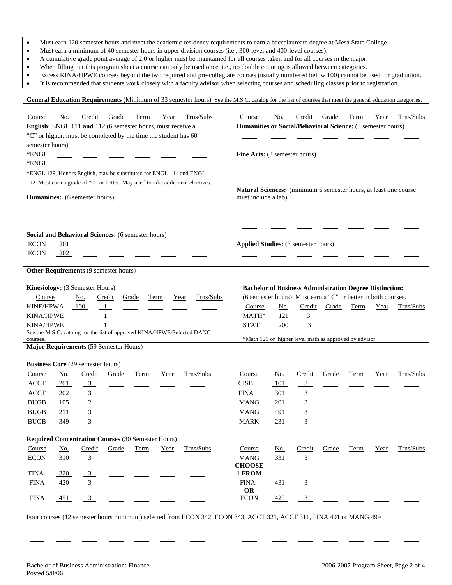- Must earn 120 semester hours and meet the academic residency requirements to earn a baccalaureate degree at Mesa State College.
- Must earn a minimum of 40 semester hours in upper division courses (i.e., 300-level and 400-level courses).
- A cumulative grade point average of 2.0 or higher must be maintained for all courses taken and for all courses in the major.
- When filling out this program sheet a course can only be used once, i.e., no double counting is allowed between categories.
- Excess KINA/HPWE courses beyond the two required and pre-collegiate courses (usually numbered below 100) cannot be used for graduation.
- It is recommended that students work closely with a faculty advisor when selecting courses and scheduling classes prior to registration.

**General Education Requirements** (Minimum of 33 semester hours) See the M.S.C. catalog for the list of courses that meet the general education categories.

| Course           | No.                                      | Credit         | Grade                                                           | Term  | Year | Trns/Subs                                                                                                           | Course                                                           | No.        | Credit         | Grade                                                          | Term | Year | Trns/Subs |
|------------------|------------------------------------------|----------------|-----------------------------------------------------------------|-------|------|---------------------------------------------------------------------------------------------------------------------|------------------------------------------------------------------|------------|----------------|----------------------------------------------------------------|------|------|-----------|
|                  |                                          |                | English: ENGL 111 and 112 (6 semester hours, must receive a     |       |      |                                                                                                                     | Humanities or Social/Behavioral Science: (3 semester hours)      |            |                |                                                                |      |      |           |
|                  |                                          |                | "C" or higher, must be completed by the time the student has 60 |       |      |                                                                                                                     |                                                                  |            |                |                                                                |      |      |           |
| semester hours)  |                                          |                |                                                                 |       |      |                                                                                                                     |                                                                  |            |                |                                                                |      |      |           |
| *ENGL            |                                          |                | $\overline{\phantom{a}}$ and $\overline{\phantom{a}}$           |       |      |                                                                                                                     | Fine Arts: (3 semester hours)                                    |            |                |                                                                |      |      |           |
| *ENGL            |                                          |                |                                                                 |       |      |                                                                                                                     |                                                                  |            |                |                                                                |      |      |           |
|                  |                                          |                |                                                                 |       |      | *ENGL 129, Honors English, may be substituted for ENGL 111 and ENGL                                                 |                                                                  |            |                |                                                                |      |      |           |
|                  |                                          |                |                                                                 |       |      | 112. Must earn a grade of "C" or better. May need to take additional electives.                                     |                                                                  |            |                |                                                                |      |      |           |
|                  |                                          |                |                                                                 |       |      |                                                                                                                     | Natural Sciences: (minimum 6 semester hours, at least one course |            |                |                                                                |      |      |           |
|                  | Humanities: (6 semester hours)           |                |                                                                 |       |      |                                                                                                                     | must include a lab)                                              |            |                |                                                                |      |      |           |
|                  |                                          |                |                                                                 |       |      |                                                                                                                     |                                                                  |            |                |                                                                |      |      |           |
|                  |                                          |                |                                                                 |       |      |                                                                                                                     |                                                                  |            |                |                                                                |      |      |           |
|                  |                                          |                |                                                                 |       |      |                                                                                                                     |                                                                  |            |                |                                                                |      |      |           |
|                  |                                          |                | Social and Behavioral Sciences: (6 semester hours)              |       |      |                                                                                                                     |                                                                  |            |                |                                                                |      |      |           |
| <b>ECON</b>      | 201                                      |                |                                                                 |       |      |                                                                                                                     | <b>Applied Studies:</b> (3 semester hours)                       |            |                |                                                                |      |      |           |
| <b>ECON</b>      | 202                                      |                |                                                                 |       |      |                                                                                                                     |                                                                  |            |                |                                                                |      |      |           |
|                  |                                          |                |                                                                 |       |      |                                                                                                                     |                                                                  |            |                |                                                                |      |      |           |
|                  |                                          |                | Other Requirements (9 semester hours)                           |       |      |                                                                                                                     |                                                                  |            |                |                                                                |      |      |           |
|                  |                                          |                |                                                                 |       |      |                                                                                                                     |                                                                  |            |                |                                                                |      |      |           |
|                  | Kinesiology: (3 Semester Hours)          |                |                                                                 |       |      |                                                                                                                     |                                                                  |            |                | <b>Bachelor of Business Administration Degree Distinction:</b> |      |      |           |
| Course           |                                          | No.            | Credit                                                          | Grade | Term | Trns/Subs<br>Year                                                                                                   |                                                                  |            |                | (6 semester hours) Must earn a "C" or better in both courses.  |      |      |           |
| <b>KINE/HPWA</b> |                                          | 100            | $\overline{1}$                                                  |       |      |                                                                                                                     | Course                                                           | <u>No.</u> | Credit         | Grade                                                          | Term | Year | Trns/Subs |
| <b>KINA/HPWE</b> |                                          |                | $1\overline{ }$                                                 |       |      |                                                                                                                     | MATH*                                                            | 121        | $\frac{3}{2}$  |                                                                |      |      |           |
| <b>KINA/HPWE</b> |                                          |                | $\mathbf{1}$                                                    |       |      | See the M.S.C. catalog for the list of approved KINA/HPWE/Selected DANC                                             | <b>STAT</b>                                                      | 200        | $\overline{3}$ |                                                                |      |      |           |
|                  |                                          |                |                                                                 |       |      |                                                                                                                     |                                                                  |            |                |                                                                |      |      |           |
| courses.         |                                          |                |                                                                 |       |      |                                                                                                                     |                                                                  |            |                | *Math 121 or higher level math as approved by advisor          |      |      |           |
|                  |                                          |                | Major Requirements (59 Semester Hours)                          |       |      |                                                                                                                     |                                                                  |            |                |                                                                |      |      |           |
|                  |                                          |                |                                                                 |       |      |                                                                                                                     |                                                                  |            |                |                                                                |      |      |           |
|                  | <b>Business Core (29 semester hours)</b> |                |                                                                 |       |      |                                                                                                                     |                                                                  |            |                |                                                                |      |      |           |
| Course           | <u>No.</u>                               | Credit         | Grade                                                           | Term  | Year | Trns/Subs                                                                                                           | Course                                                           | No.        | Credit         | Grade                                                          | Term | Year | Trns/Subs |
| <b>ACCT</b>      | $-201$                                   | $\frac{3}{2}$  |                                                                 |       |      |                                                                                                                     | <b>CISB</b>                                                      | 101        | $\overline{3}$ |                                                                |      |      |           |
| <b>ACCT</b>      | 202                                      | $\frac{3}{2}$  |                                                                 |       |      |                                                                                                                     | <b>FINA</b>                                                      | 301        | $\overline{3}$ | $\overline{\phantom{a}}$                                       |      |      |           |
| <b>BUGB</b>      | 105                                      | $\sqrt{2}$     |                                                                 |       |      |                                                                                                                     | <b>MANG</b>                                                      | 201        | 3 <sup>1</sup> | $\frac{1}{2}$                                                  |      |      |           |
| <b>BUGB</b>      | 211                                      | $\overline{3}$ |                                                                 |       |      |                                                                                                                     | <b>MANG</b>                                                      | 491        | $\overline{3}$ |                                                                |      |      |           |
| <b>BUGB</b>      | 349                                      | $\mathfrak{Z}$ |                                                                 |       |      |                                                                                                                     | <b>MARK</b>                                                      | 231        | $\mathfrak{Z}$ |                                                                |      |      |           |
|                  |                                          |                |                                                                 |       |      |                                                                                                                     |                                                                  |            |                |                                                                |      |      |           |
|                  |                                          |                | <b>Required Concentration Courses (30 Semester Hours)</b>       |       |      |                                                                                                                     |                                                                  |            |                |                                                                |      |      |           |
| Course           |                                          | Credit         |                                                                 |       |      | Trns/Subs                                                                                                           | Course                                                           |            |                |                                                                | Term |      | Trns/Subs |
|                  | <u>No.</u>                               |                | Grade                                                           | Term  | Year |                                                                                                                     | <b>MANG</b>                                                      | <u>No.</u> | Credit         | Grade                                                          |      | Year |           |
| <b>ECON</b>      | 310                                      | $\overline{3}$ |                                                                 |       |      |                                                                                                                     | <b>CHOOSE</b>                                                    | 331        | $\overline{3}$ |                                                                |      |      |           |
| <b>FINA</b>      | 320                                      | $\overline{3}$ |                                                                 |       |      |                                                                                                                     | 1 FROM                                                           |            |                |                                                                |      |      |           |
| <b>FINA</b>      | 420                                      | $\frac{3}{2}$  |                                                                 |       |      |                                                                                                                     | <b>FINA</b>                                                      | $-431$     | $\overline{3}$ |                                                                |      |      |           |
|                  |                                          |                |                                                                 |       |      |                                                                                                                     | OR                                                               |            |                |                                                                |      |      |           |
| <b>FINA</b>      | 451                                      | $\mathbf{3}$   |                                                                 |       |      |                                                                                                                     | <b>ECON</b>                                                      | 420        | $\overline{3}$ |                                                                |      |      |           |
|                  |                                          |                |                                                                 |       |      |                                                                                                                     |                                                                  |            |                |                                                                |      |      |           |
|                  |                                          |                |                                                                 |       |      | Four courses (12 semester hours minimum) selected from ECON 342, ECON 343, ACCT 321, ACCT 311, FINA 401 or MANG 499 |                                                                  |            |                |                                                                |      |      |           |
|                  |                                          |                |                                                                 |       |      |                                                                                                                     |                                                                  |            |                |                                                                |      |      |           |
|                  |                                          |                |                                                                 |       |      |                                                                                                                     |                                                                  |            |                |                                                                |      |      |           |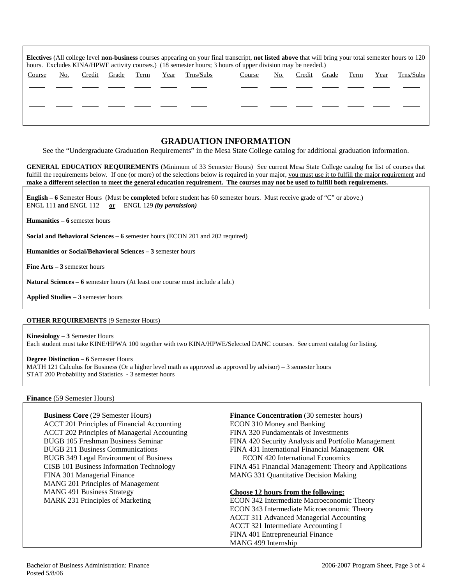| <b>Electives</b> (All college level <b>non-business</b> courses appearing on your final transcript, <b>not listed above</b> that will bring your total semester hours to 120<br>hours. Excludes KINA/HPWE activity courses.) (18 semester hours; 3 hours of upper division may be needed.) |     |        |       |      |      |           |        |     |        |       |      |      |           |
|--------------------------------------------------------------------------------------------------------------------------------------------------------------------------------------------------------------------------------------------------------------------------------------------|-----|--------|-------|------|------|-----------|--------|-----|--------|-------|------|------|-----------|
| Course                                                                                                                                                                                                                                                                                     | No. | Credit | Grade | Term | Year | Trns/Subs | Course | No. | Credit | Grade | Term | Year | Trns/Subs |
|                                                                                                                                                                                                                                                                                            |     |        |       |      |      |           |        |     |        |       |      |      |           |
|                                                                                                                                                                                                                                                                                            |     |        |       |      |      |           |        |     |        |       |      |      |           |
|                                                                                                                                                                                                                                                                                            |     |        |       |      |      |           |        |     |        |       |      |      |           |
|                                                                                                                                                                                                                                                                                            |     |        |       |      |      |           |        |     |        |       |      |      |           |

# **GRADUATION INFORMATION**

See the "Undergraduate Graduation Requirements" in the Mesa State College catalog for additional graduation information.

**GENERAL EDUCATION REQUIREMENTS** (Minimum of 33 Semester Hours) See current Mesa State College catalog for list of courses that fulfill the requirements below. If one (or more) of the selections below is required in your major, you must use it to fulfill the major requirement and **make a different selection to meet the general education requirement. The courses may not be used to fulfill both requirements.**

**English – 6** Semester Hours (Must be **completed** before student has 60 semester hours. Must receive grade of "C" or above.) ENGL 111 **and** ENGL 112 **or** ENGL 129 *(by permission)*

**Humanities – 6** semester hours

**Social and Behavioral Sciences – 6** semester hours (ECON 201 and 202 required)

**Humanities or Social/Behavioral Sciences – 3** semester hours

**Fine Arts – 3** semester hours

**Natural Sciences – 6** semester hours (At least one course must include a lab.)

**Applied Studies – 3** semester hours

## **OTHER REQUIREMENTS** (9 Semester Hours)

**Kinesiology – 3** Semester Hours Each student must take KINE/HPWA 100 together with two KINA/HPWE/Selected DANC courses. See current catalog for listing.

## **Degree Distinction – 6** Semester Hours

MATH 121 Calculus for Business (Or a higher level math as approved as approved by advisor) – 3 semester hours STAT 200 Probability and Statistics - 3 semester hours

## **Finance** (59 Semester Hours)

ACCT 201 Principles of Financial Accounting ECON 310 Money and Banking ACCT 202 Principles of Managerial Accounting FINA 320 Fundamentals of Investments BUGB 349 Legal Environment of Business ECON 420 International Economics FINA 301 Managerial Finance MANG 331 Quantitative Decision Making MANG 201 Principles of Management MANG 491 Business Strategy **Choose 12 hours from the following:**

# **Business Core** (29 Semester Hours) **Finance Concentration** (30 semester hours)

BUGB 105 Freshman Business Seminar FINA 420 Security Analysis and Portfolio Management BUGB 211 Business Communications FINA 431 International Financial Management **OR** CISB 101 Business Information Technology FINA 451 Financial Management: Theory and Applications

MARK 231 Principles of Marketing ECON 342 Intermediate Macroeconomic Theory ECON 343 Intermediate Microeconomic Theory ACCT 311 Advanced Managerial Accounting ACCT 321 Intermediate Accounting I FINA 401 Entrepreneurial Finance MANG 499 Internship